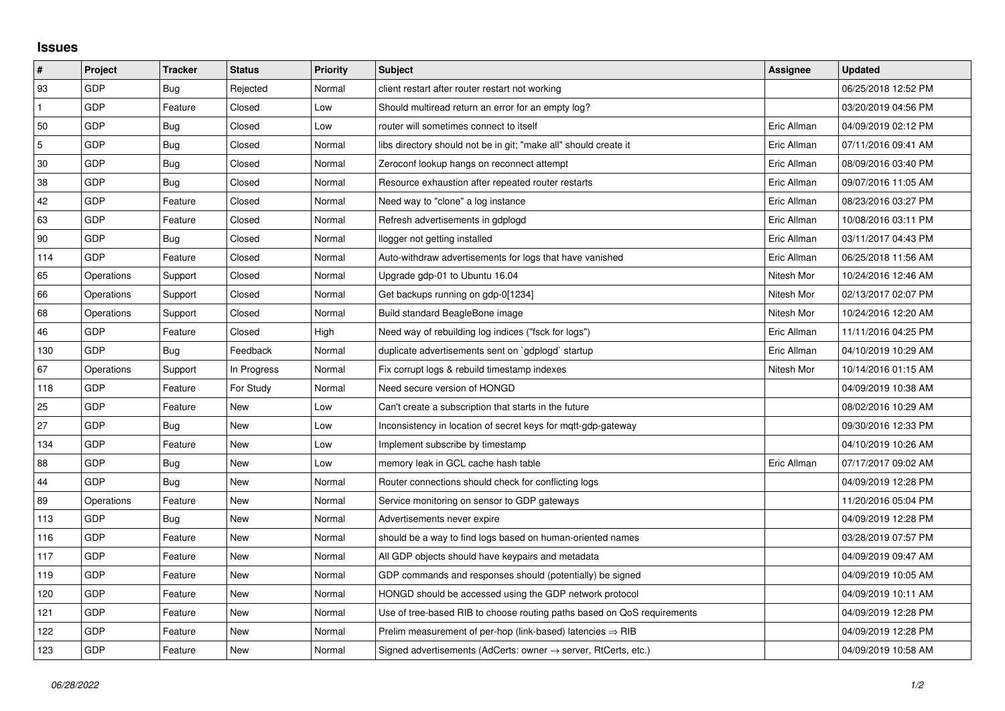## **Issues**

| $\pmb{\sharp}$ | Project    | <b>Tracker</b> | <b>Status</b> | <b>Priority</b> | <b>Subject</b>                                                             | Assignee    | <b>Updated</b>      |
|----------------|------------|----------------|---------------|-----------------|----------------------------------------------------------------------------|-------------|---------------------|
| 93             | GDP        | Bug            | Rejected      | Normal          | client restart after router restart not working                            |             | 06/25/2018 12:52 PM |
| $\mathbf{1}$   | <b>GDP</b> | Feature        | Closed        | Low             | Should multiread return an error for an empty log?                         |             | 03/20/2019 04:56 PM |
| 50             | GDP        | Bug            | Closed        | Low             | router will sometimes connect to itself                                    | Eric Allman | 04/09/2019 02:12 PM |
| $\mathbf 5$    | <b>GDP</b> | <b>Bug</b>     | Closed        | Normal          | libs directory should not be in git; "make all" should create it           | Eric Allman | 07/11/2016 09:41 AM |
| 30             | <b>GDP</b> | Bug            | Closed        | Normal          | Zeroconf lookup hangs on reconnect attempt                                 | Eric Allman | 08/09/2016 03:40 PM |
| 38             | <b>GDP</b> | Bug            | Closed        | Normal          | Resource exhaustion after repeated router restarts                         | Eric Allman | 09/07/2016 11:05 AM |
| 42             | GDP        | Feature        | Closed        | Normal          | Need way to "clone" a log instance                                         | Eric Allman | 08/23/2016 03:27 PM |
| 63             | GDP        | Feature        | Closed        | Normal          | Refresh advertisements in gdplogd                                          | Eric Allman | 10/08/2016 03:11 PM |
| 90             | <b>GDP</b> | <b>Bug</b>     | Closed        | Normal          | llogger not getting installed                                              | Eric Allman | 03/11/2017 04:43 PM |
| 114            | <b>GDP</b> | Feature        | Closed        | Normal          | Auto-withdraw advertisements for logs that have vanished                   | Eric Allman | 06/25/2018 11:56 AM |
| 65             | Operations | Support        | Closed        | Normal          | Upgrade gdp-01 to Ubuntu 16.04                                             | Nitesh Mor  | 10/24/2016 12:46 AM |
| 66             | Operations | Support        | Closed        | Normal          | Get backups running on gdp-0[1234]                                         | Nitesh Mor  | 02/13/2017 02:07 PM |
| 68             | Operations | Support        | Closed        | Normal          | Build standard BeagleBone image                                            | Nitesh Mor  | 10/24/2016 12:20 AM |
| 46             | <b>GDP</b> | Feature        | Closed        | High            | Need way of rebuilding log indices ("fsck for logs")                       | Eric Allman | 11/11/2016 04:25 PM |
| 130            | <b>GDP</b> | <b>Bug</b>     | Feedback      | Normal          | duplicate advertisements sent on `gdplogd` startup                         | Eric Allman | 04/10/2019 10:29 AM |
| 67             | Operations | Support        | In Progress   | Normal          | Fix corrupt logs & rebuild timestamp indexes                               | Nitesh Mor  | 10/14/2016 01:15 AM |
| 118            | GDP        | Feature        | For Study     | Normal          | Need secure version of HONGD                                               |             | 04/09/2019 10:38 AM |
| 25             | GDP        | Feature        | New           | Low             | Can't create a subscription that starts in the future                      |             | 08/02/2016 10:29 AM |
| 27             | <b>GDP</b> | Bug            | <b>New</b>    | Low             | Inconsistency in location of secret keys for mgtt-gdp-gateway              |             | 09/30/2016 12:33 PM |
| 134            | GDP        | Feature        | <b>New</b>    | Low             | Implement subscribe by timestamp                                           |             | 04/10/2019 10:26 AM |
| 88             | GDP        | Bug            | New           | Low             | memory leak in GCL cache hash table                                        | Eric Allman | 07/17/2017 09:02 AM |
| 44             | <b>GDP</b> | Bug            | <b>New</b>    | Normal          | Router connections should check for conflicting logs                       |             | 04/09/2019 12:28 PM |
| 89             | Operations | Feature        | <b>New</b>    | Normal          | Service monitoring on sensor to GDP gateways                               |             | 11/20/2016 05:04 PM |
| 113            | <b>GDP</b> | Bug            | New           | Normal          | Advertisements never expire                                                |             | 04/09/2019 12:28 PM |
| 116            | <b>GDP</b> | Feature        | <b>New</b>    | Normal          | should be a way to find logs based on human-oriented names                 |             | 03/28/2019 07:57 PM |
| 117            | <b>GDP</b> | Feature        | New           | Normal          | All GDP objects should have keypairs and metadata                          |             | 04/09/2019 09:47 AM |
| 119            | <b>GDP</b> | Feature        | New           | Normal          | GDP commands and responses should (potentially) be signed                  |             | 04/09/2019 10:05 AM |
| 120            | <b>GDP</b> | Feature        | <b>New</b>    | Normal          | HONGD should be accessed using the GDP network protocol                    |             | 04/09/2019 10:11 AM |
| 121            | GDP        | Feature        | New           | Normal          | Use of tree-based RIB to choose routing paths based on QoS requirements    |             | 04/09/2019 12:28 PM |
| 122            | GDP        | Feature        | New           | Normal          | Prelim measurement of per-hop (link-based) latencies $\Rightarrow$ RIB     |             | 04/09/2019 12:28 PM |
| 123            | GDP        | Feature        | <b>New</b>    | Normal          | Signed advertisements (AdCerts: owner $\rightarrow$ server, RtCerts, etc.) |             | 04/09/2019 10:58 AM |